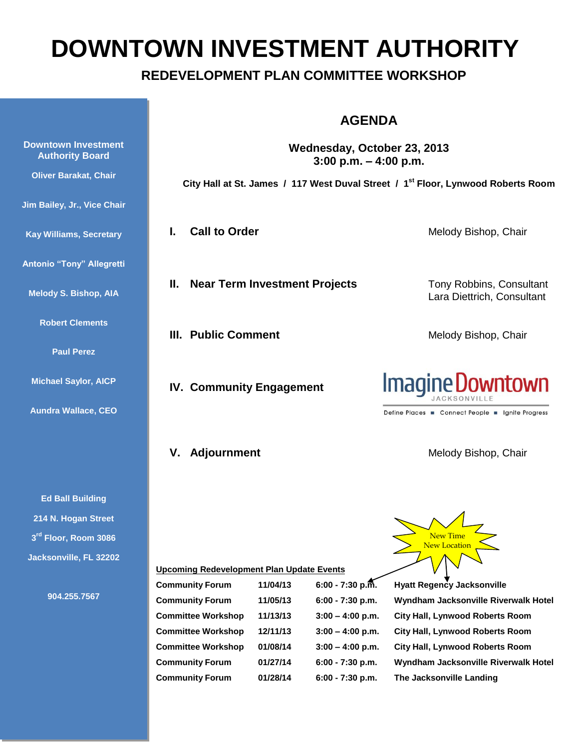# **DOWNTOWN INVESTMENT AUTHORITY**

## **REDEVELOPMENT PLAN COMMITTEE WORKSHOP**

## **AGENDA**

**Wednesday, October 23, 2013 3:00 p.m. – 4:00 p.m.**

**City Hall at St. James / 117 West Duval Street / 1st Floor, Lynwood Roberts Room**

**II. Near Term Investment Projects** Tony Robbins, Consultant

**III. Public Comment** Melody Bishop, Chair

**IV. Community Engagement**

#### **I. Call to Order** Melody Bishop, Chair

Lara Diettrich, Consultant



Define Places Connect People | Ignite Progress

**V. Adjournment** Melody Bishop, Chair

**Upcoming Redevelopment Plan Update Events**

| <b>Community Forum</b>    | 11/04/13 | $6:00 - 7:30$ p.m. |
|---------------------------|----------|--------------------|
| <b>Community Forum</b>    | 11/05/13 | $6:00 - 7:30$ p.m. |
| <b>Committee Workshop</b> | 11/13/13 | $3:00 - 4:00$ p.m. |
| <b>Committee Workshop</b> | 12/11/13 | $3:00 - 4:00$ p.m. |
| <b>Committee Workshop</b> | 01/08/14 | $3:00 - 4:00$ p.m. |
| <b>Community Forum</b>    | 01/27/14 | 6:00 - 7:30 p.m.   |
| <b>Community Forum</b>    | 01/28/14 | 6:00 - 7:30 p.m.   |

**New Time** New Location

**Hyatt Regency Jacksonville Wyndham Jacksonville Riverwalk Hotel City Hall, Lynwood Roberts Room City Hall, Lynwood Roberts Room City Hall, Lynwood Roberts Room Community Forum 01/27/14 6:00 - 7:30 p.m. Wyndham Jacksonville Riverwalk Hotel The Jacksonville Landing** 

**Kay Williams, Secretary Antonio "Tony" Allegretti Melody S. Bishop, AIA Robert Clements Paul Perez Michael Saylor, AICP Aundra Wallace, CEO**

**Downtown Investment Authority Board**

**Oliver Barakat, Chair**

**Jim Bailey, Jr., Vice Chair**

**Ed Ball Building 214 N. Hogan Street 3 rd Floor, Room 3086 Jacksonville, FL 32202**

**904.255.7567**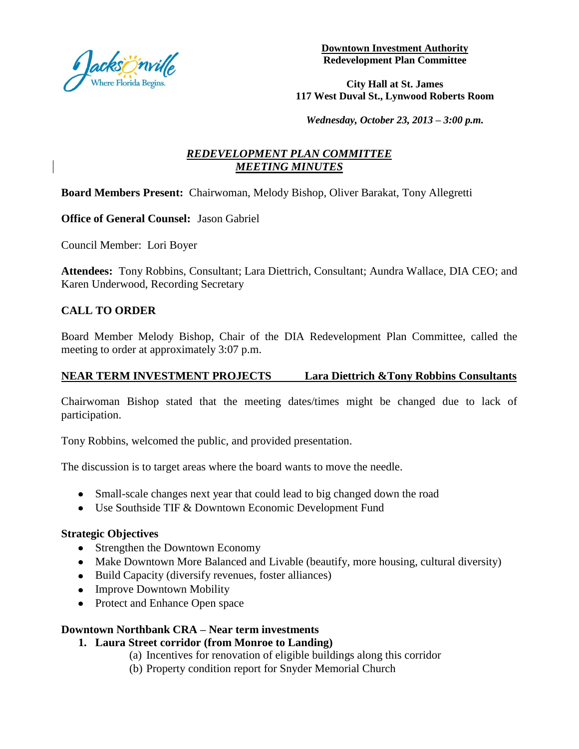

**Downtown Investment Authority Redevelopment Plan Committee**

**City Hall at St. James 117 West Duval St., Lynwood Roberts Room**

*Wednesday, October 23, 2013 – 3:00 p.m.*

## *REDEVELOPMENT PLAN COMMITTEE MEETING MINUTES*

## **Board Members Present:** Chairwoman, Melody Bishop, Oliver Barakat, Tony Allegretti

**Office of General Counsel:** Jason Gabriel

Council Member: Lori Boyer

**Attendees:** Tony Robbins, Consultant; Lara Diettrich, Consultant; Aundra Wallace, DIA CEO; and Karen Underwood, Recording Secretary

## **CALL TO ORDER**

Board Member Melody Bishop, Chair of the DIA Redevelopment Plan Committee, called the meeting to order at approximately 3:07 p.m.

## **NEAR TERM INVESTMENT PROJECTS Lara Diettrich &Tony Robbins Consultants**

Chairwoman Bishop stated that the meeting dates/times might be changed due to lack of participation.

Tony Robbins, welcomed the public, and provided presentation.

The discussion is to target areas where the board wants to move the needle.

- Small-scale changes next year that could lead to big changed down the road
- Use Southside TIF & Downtown Economic Development Fund

#### **Strategic Objectives**

- Strengthen the Downtown Economy
- Make Downtown More Balanced and Livable (beautify, more housing, cultural diversity)
- Build Capacity (diversify revenues, foster alliances)
- Improve Downtown Mobility
- Protect and Enhance Open space

## **Downtown Northbank CRA – Near term investments**

- **1. Laura Street corridor (from Monroe to Landing)** 
	- (a) Incentives for renovation of eligible buildings along this corridor
	- (b) Property condition report for Snyder Memorial Church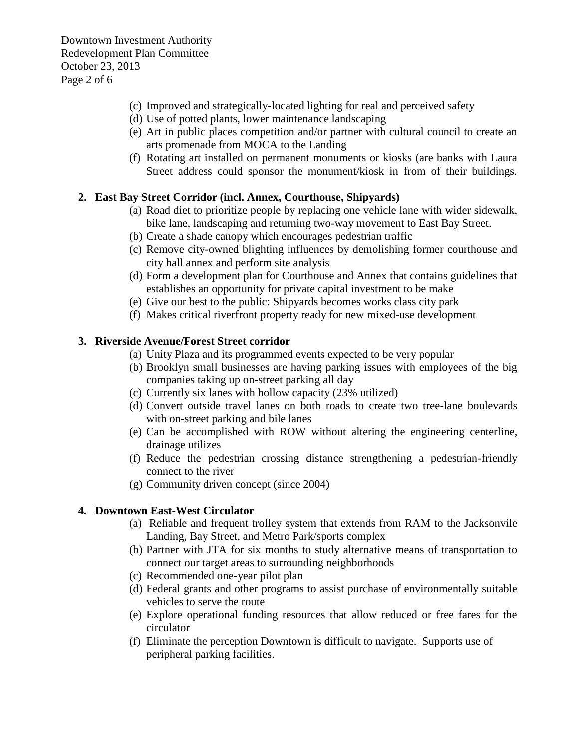- (c) Improved and strategically-located lighting for real and perceived safety
- (d) Use of potted plants, lower maintenance landscaping
- (e) Art in public places competition and/or partner with cultural council to create an arts promenade from MOCA to the Landing
- (f) Rotating art installed on permanent monuments or kiosks (are banks with Laura Street address could sponsor the monument/kiosk in from of their buildings.

## **2. East Bay Street Corridor (incl. Annex, Courthouse, Shipyards)**

- (a) Road diet to prioritize people by replacing one vehicle lane with wider sidewalk, bike lane, landscaping and returning two-way movement to East Bay Street.
- (b) Create a shade canopy which encourages pedestrian traffic
- (c) Remove city-owned blighting influences by demolishing former courthouse and city hall annex and perform site analysis
- (d) Form a development plan for Courthouse and Annex that contains guidelines that establishes an opportunity for private capital investment to be make
- (e) Give our best to the public: Shipyards becomes works class city park
- (f) Makes critical riverfront property ready for new mixed-use development

## **3. Riverside Avenue/Forest Street corridor**

- (a) Unity Plaza and its programmed events expected to be very popular
- (b) Brooklyn small businesses are having parking issues with employees of the big companies taking up on-street parking all day
- (c) Currently six lanes with hollow capacity (23% utilized)
- (d) Convert outside travel lanes on both roads to create two tree-lane boulevards with on-street parking and bile lanes
- (e) Can be accomplished with ROW without altering the engineering centerline, drainage utilizes
- (f) Reduce the pedestrian crossing distance strengthening a pedestrian-friendly connect to the river
- (g) Community driven concept (since 2004)

## **4. Downtown East-West Circulator**

- (a) Reliable and frequent trolley system that extends from RAM to the Jacksonvile Landing, Bay Street, and Metro Park/sports complex
- (b) Partner with JTA for six months to study alternative means of transportation to connect our target areas to surrounding neighborhoods
- (c) Recommended one-year pilot plan
- (d) Federal grants and other programs to assist purchase of environmentally suitable vehicles to serve the route
- (e) Explore operational funding resources that allow reduced or free fares for the circulator
- (f) Eliminate the perception Downtown is difficult to navigate. Supports use of peripheral parking facilities.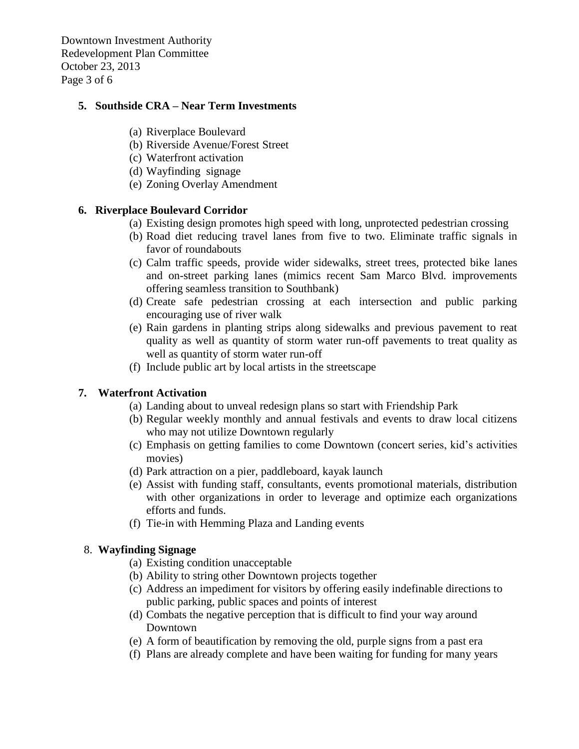Downtown Investment Authority Redevelopment Plan Committee October 23, 2013 Page 3 of 6

#### **5. Southside CRA – Near Term Investments**

- (a) Riverplace Boulevard
- (b) Riverside Avenue/Forest Street
- (c) Waterfront activation
- (d) Wayfinding signage
- (e) Zoning Overlay Amendment

#### **6. Riverplace Boulevard Corridor**

- (a) Existing design promotes high speed with long, unprotected pedestrian crossing
- (b) Road diet reducing travel lanes from five to two. Eliminate traffic signals in favor of roundabouts
- (c) Calm traffic speeds, provide wider sidewalks, street trees, protected bike lanes and on-street parking lanes (mimics recent Sam Marco Blvd. improvements offering seamless transition to Southbank)
- (d) Create safe pedestrian crossing at each intersection and public parking encouraging use of river walk
- (e) Rain gardens in planting strips along sidewalks and previous pavement to reat quality as well as quantity of storm water run-off pavements to treat quality as well as quantity of storm water run-off
- (f) Include public art by local artists in the streetscape

#### **7. Waterfront Activation**

- (a) Landing about to unveal redesign plans so start with Friendship Park
- (b) Regular weekly monthly and annual festivals and events to draw local citizens who may not utilize Downtown regularly
- (c) Emphasis on getting families to come Downtown (concert series, kid's activities movies)
- (d) Park attraction on a pier, paddleboard, kayak launch
- (e) Assist with funding staff, consultants, events promotional materials, distribution with other organizations in order to leverage and optimize each organizations efforts and funds.
- (f) Tie-in with Hemming Plaza and Landing events

#### 8. **Wayfinding Signage**

- (a) Existing condition unacceptable
- (b) Ability to string other Downtown projects together
- (c) Address an impediment for visitors by offering easily indefinable directions to public parking, public spaces and points of interest
- (d) Combats the negative perception that is difficult to find your way around Downtown
- (e) A form of beautification by removing the old, purple signs from a past era
- (f) Plans are already complete and have been waiting for funding for many years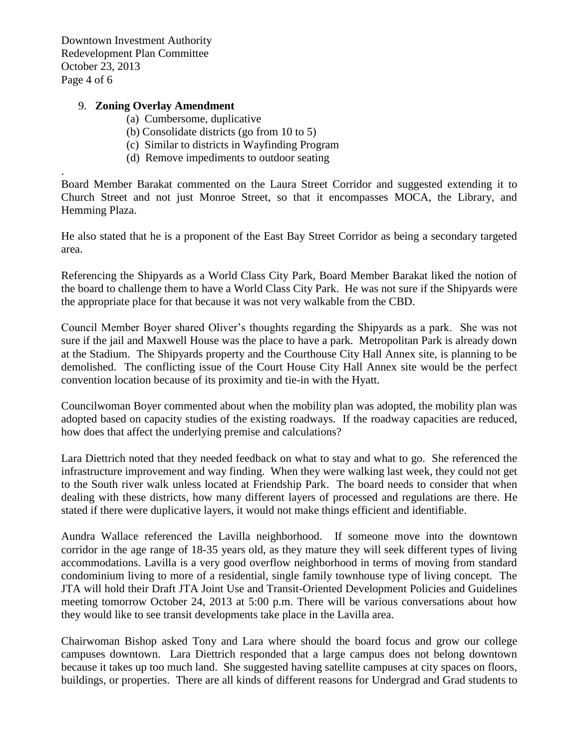Downtown Investment Authority Redevelopment Plan Committee October 23, 2013 Page 4 of 6

.

#### 9. **Zoning Overlay Amendment**

- (a) Cumbersome, duplicative
- (b) Consolidate districts (go from 10 to 5)
- (c) Similar to districts in Wayfinding Program
- (d) Remove impediments to outdoor seating

Board Member Barakat commented on the Laura Street Corridor and suggested extending it to Church Street and not just Monroe Street, so that it encompasses MOCA, the Library, and Hemming Plaza.

He also stated that he is a proponent of the East Bay Street Corridor as being a secondary targeted area.

Referencing the Shipyards as a World Class City Park, Board Member Barakat liked the notion of the board to challenge them to have a World Class City Park. He was not sure if the Shipyards were the appropriate place for that because it was not very walkable from the CBD.

Council Member Boyer shared Oliver's thoughts regarding the Shipyards as a park. She was not sure if the jail and Maxwell House was the place to have a park. Metropolitan Park is already down at the Stadium. The Shipyards property and the Courthouse City Hall Annex site, is planning to be demolished. The conflicting issue of the Court House City Hall Annex site would be the perfect convention location because of its proximity and tie-in with the Hyatt.

Councilwoman Boyer commented about when the mobility plan was adopted, the mobility plan was adopted based on capacity studies of the existing roadways. If the roadway capacities are reduced, how does that affect the underlying premise and calculations?

Lara Diettrich noted that they needed feedback on what to stay and what to go. She referenced the infrastructure improvement and way finding. When they were walking last week, they could not get to the South river walk unless located at Friendship Park. The board needs to consider that when dealing with these districts, how many different layers of processed and regulations are there. He stated if there were duplicative layers, it would not make things efficient and identifiable.

Aundra Wallace referenced the Lavilla neighborhood. If someone move into the downtown corridor in the age range of 18-35 years old, as they mature they will seek different types of living accommodations. Lavilla is a very good overflow neighborhood in terms of moving from standard condominium living to more of a residential, single family townhouse type of living concept. The JTA will hold their Draft JTA Joint Use and Transit-Oriented Development Policies and Guidelines meeting tomorrow October 24, 2013 at 5:00 p.m. There will be various conversations about how they would like to see transit developments take place in the Lavilla area.

Chairwoman Bishop asked Tony and Lara where should the board focus and grow our college campuses downtown. Lara Diettrich responded that a large campus does not belong downtown because it takes up too much land. She suggested having satellite campuses at city spaces on floors, buildings, or properties. There are all kinds of different reasons for Undergrad and Grad students to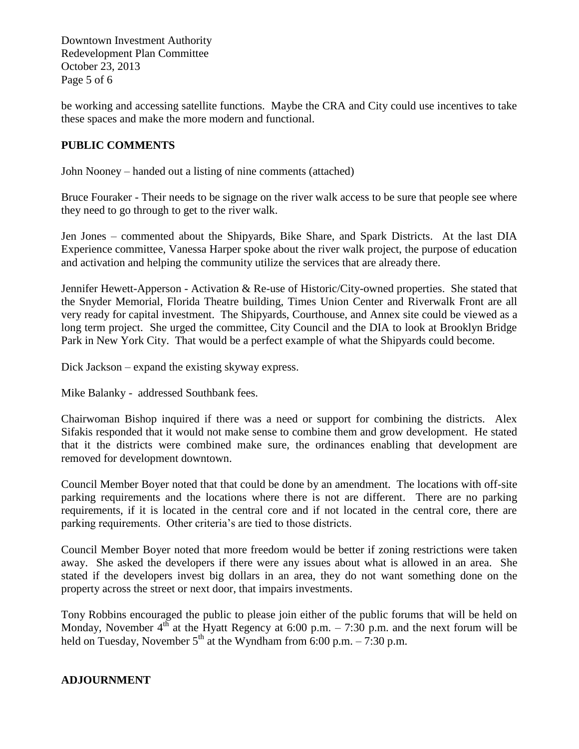Downtown Investment Authority Redevelopment Plan Committee October 23, 2013 Page 5 of 6

be working and accessing satellite functions. Maybe the CRA and City could use incentives to take these spaces and make the more modern and functional.

## **PUBLIC COMMENTS**

John Nooney – handed out a listing of nine comments (attached)

Bruce Fouraker - Their needs to be signage on the river walk access to be sure that people see where they need to go through to get to the river walk.

Jen Jones – commented about the Shipyards, Bike Share, and Spark Districts. At the last DIA Experience committee, Vanessa Harper spoke about the river walk project, the purpose of education and activation and helping the community utilize the services that are already there.

Jennifer Hewett-Apperson - Activation & Re-use of Historic/City-owned properties. She stated that the Snyder Memorial, Florida Theatre building, Times Union Center and Riverwalk Front are all very ready for capital investment. The Shipyards, Courthouse, and Annex site could be viewed as a long term project. She urged the committee, City Council and the DIA to look at Brooklyn Bridge Park in New York City. That would be a perfect example of what the Shipyards could become.

Dick Jackson – expand the existing skyway express.

Mike Balanky - addressed Southbank fees.

Chairwoman Bishop inquired if there was a need or support for combining the districts. Alex Sifakis responded that it would not make sense to combine them and grow development. He stated that it the districts were combined make sure, the ordinances enabling that development are removed for development downtown.

Council Member Boyer noted that that could be done by an amendment. The locations with off-site parking requirements and the locations where there is not are different. There are no parking requirements, if it is located in the central core and if not located in the central core, there are parking requirements. Other criteria's are tied to those districts.

Council Member Boyer noted that more freedom would be better if zoning restrictions were taken away. She asked the developers if there were any issues about what is allowed in an area. She stated if the developers invest big dollars in an area, they do not want something done on the property across the street or next door, that impairs investments.

Tony Robbins encouraged the public to please join either of the public forums that will be held on Monday, November  $4^{th}$  at the Hyatt Regency at 6:00 p.m. – 7:30 p.m. and the next forum will be held on Tuesday, November  $5<sup>th</sup>$  at the Wyndham from 6:00 p.m. – 7:30 p.m.

## **ADJOURNMENT**